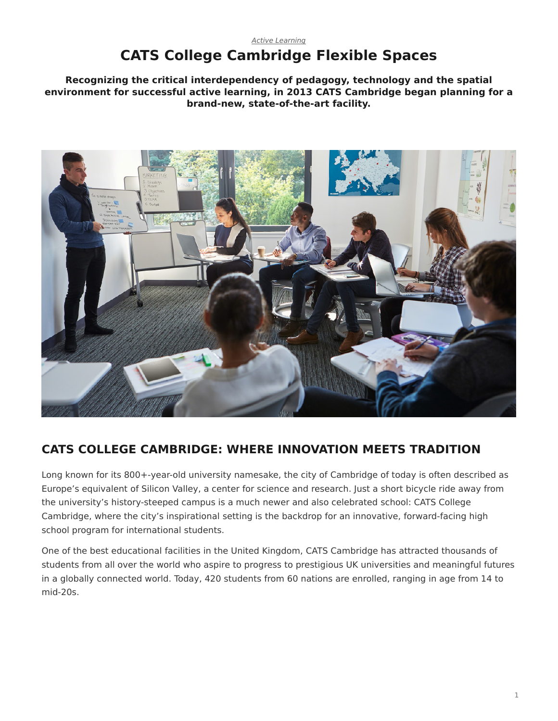#### <span id="page-0-0"></span>*[Active Learning](https://www.steelcase.com/research/topics/active-learning/)* **CATS College Cambridge Flexible Spaces**

**Recognizing the critical interdependency of pedagogy, technology and the spatial environment for successful active learning, in 2013 CATS Cambridge began planning for a brand-new, state-of-the-art facility.**



# **CATS COLLEGE CAMBRIDGE: WHERE INNOVATION MEETS TRADITION**

Long known for its 800+-year-old university namesake, the city of Cambridge of today is often described as Europe's equivalent of Silicon Valley, a center for science and research. Just a short bicycle ride away from the university's history-steeped campus is a much newer and also celebrated school: CATS College Cambridge, where the city's inspirational setting is the backdrop for an innovative, forward-facing high school program for international students.

One of the best educational facilities in the United Kingdom, CATS Cambridge has attracted thousands of students from all over the world who aspire to progress to prestigious UK universities and meaningful futures in a globally connected world. Today, 420 students from 60 nations are enrolled, ranging in age from 14 to mid-20s.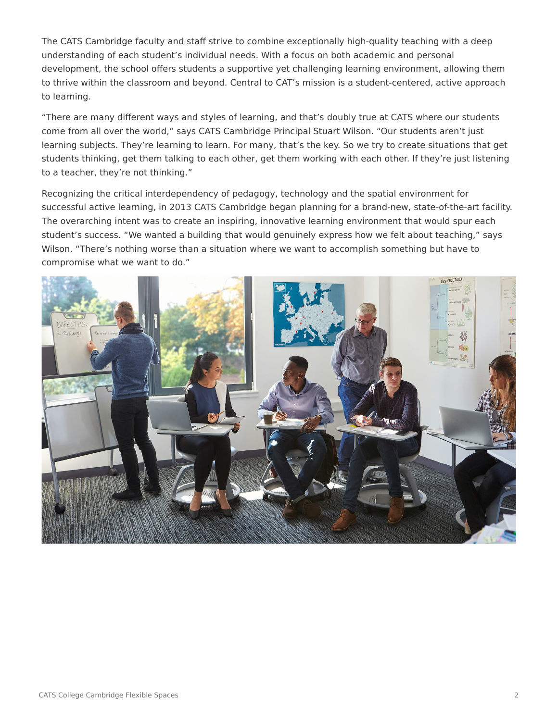The CATS Cambridge faculty and staff strive to combine exceptionally high-quality teaching with a deep understanding of each student's individual needs. With a focus on both academic and personal development, the school offers students a supportive yet challenging learning environment, allowing them to thrive within the classroom and beyond. Central to CAT's mission is a student-centered, active approach to learning.

"There are many different ways and styles of learning, and that's doubly true at CATS where our students come from all over the world," says CATS Cambridge Principal Stuart Wilson. "Our students aren't just learning subjects. They're learning to learn. For many, that's the key. So we try to create situations that get students thinking, get them talking to each other, get them working with each other. If they're just listening to a teacher, they're not thinking."

Recognizing the critical interdependency of pedagogy, technology and the spatial environment for successful active learning, in 2013 CATS Cambridge began planning for a brand-new, state-of-the-art facility. The overarching intent was to create an inspiring, innovative learning environment that would spur each student's success. "We wanted a building that would genuinely express how we felt about teaching," says Wilson. "There's nothing worse than a situation where we want to accomplish something but have to compromise what we want to do."

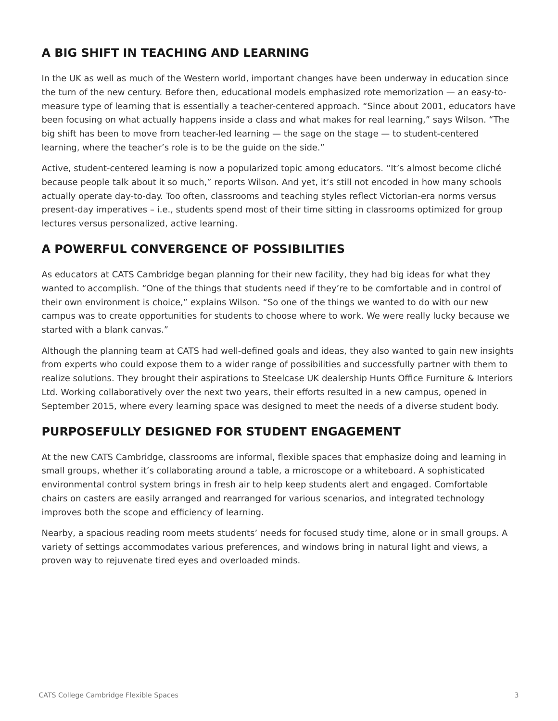# **A BIG SHIFT IN TEACHING AND LEARNING**

In the UK as well as much of the Western world, important changes have been underway in education since the turn of the new century. Before then, educational models emphasized rote memorization — an easy-tomeasure type of learning that is essentially a teacher-centered approach. "Since about 2001, educators have been focusing on what actually happens inside a class and what makes for real learning," says Wilson. "The big shift has been to move from teacher-led learning — the sage on the stage — to student-centered learning, where the teacher's role is to be the guide on the side."

Active, student-centered learning is now a popularized topic among educators. "It's almost become cliché because people talk about it so much," reports Wilson. And yet, it's still not encoded in how many schools actually operate day-to-day. Too often, classrooms and teaching styles reflect Victorian-era norms versus present-day imperatives – i.e., students spend most of their time sitting in classrooms optimized for group lectures versus personalized, active learning.

## **A POWERFUL CONVERGENCE OF POSSIBILITIES**

As educators at CATS Cambridge began planning for their new facility, they had big ideas for what they wanted to accomplish. "One of the things that students need if they're to be comfortable and in control of their own environment is choice," explains Wilson. "So one of the things we wanted to do with our new campus was to create opportunities for students to choose where to work. We were really lucky because we started with a blank canvas."

Although the planning team at CATS had well-defined goals and ideas, they also wanted to gain new insights from experts who could expose them to a wider range of possibilities and successfully partner with them to realize solutions. They brought their aspirations to Steelcase UK dealership Hunts Office Furniture & Interiors Ltd. Working collaboratively over the next two years, their efforts resulted in a new campus, opened in September 2015, where every learning space was designed to meet the needs of a diverse student body.

# **PURPOSEFULLY DESIGNED FOR STUDENT ENGAGEMENT**

At the new CATS Cambridge, classrooms are informal, flexible spaces that emphasize doing and learning in small groups, whether it's collaborating around a table, a microscope or a whiteboard. A sophisticated environmental control system brings in fresh air to help keep students alert and engaged. Comfortable chairs on casters are easily arranged and rearranged for various scenarios, and integrated technology improves both the scope and efficiency of learning.

Nearby, a spacious reading room meets students' needs for focused study time, alone or in small groups. A variety of settings accommodates various preferences, and windows bring in natural light and views, a proven way to rejuvenate tired eyes and overloaded minds.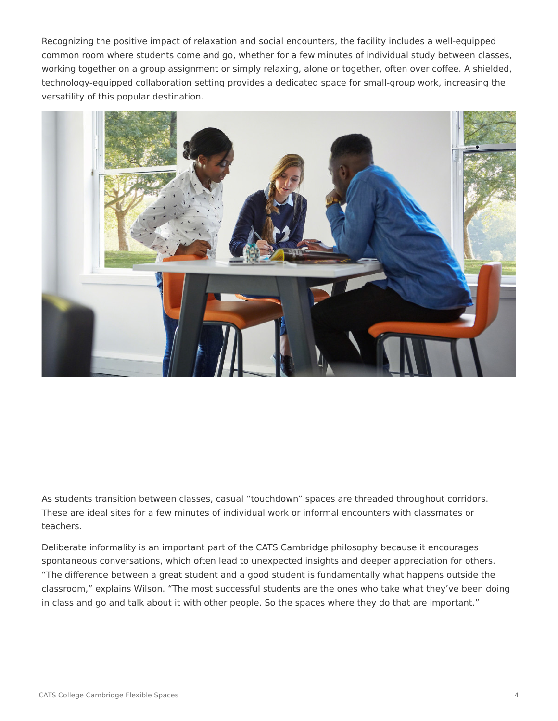Recognizing the positive impact of relaxation and social encounters, the facility includes a well-equipped common room where students come and go, whether for a few minutes of individual study between classes, working together on a group assignment or simply relaxing, alone or together, often over coffee. A shielded, technology-equipped collaboration setting provides a dedicated space for small-group work, increasing the versatility of this popular destination.



As students transition between classes, casual "touchdown" spaces are threaded throughout corridors. These are ideal sites for a few minutes of individual work or informal encounters with classmates or teachers.

Deliberate informality is an important part of the CATS Cambridge philosophy because it encourages spontaneous conversations, which often lead to unexpected insights and deeper appreciation for others. "The difference between a great student and a good student is fundamentally what happens outside the classroom," explains Wilson. "The most successful students are the ones who take what they've been doing in class and go and talk about it with other people. So the spaces where they do that are important."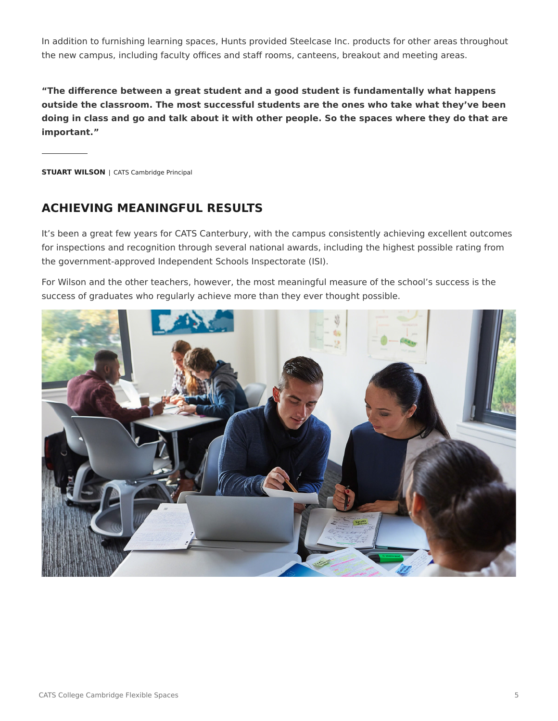In addition to furnishing learning spaces, Hunts provided Steelcase Inc. products for other areas throughout the new campus, including faculty offices and staff rooms, canteens, breakout and meeting areas.

**"The difference between a great student and a good student is fundamentally what happens outside the classroom. The most successful students are the ones who take what they've been doing in class and go and talk about it with other people. So the spaces where they do that are important."**

**STUART WILSON** | CATS Cambridge Principal

## **ACHIEVING MEANINGFUL RESULTS**

It's been a great few years for CATS Canterbury, with the campus consistently achieving excellent outcomes for inspections and recognition through several national awards, including the highest possible rating from the government-approved Independent Schools Inspectorate (ISI).

For Wilson and the other teachers, however, the most meaningful measure of the school's success is the success of graduates who regularly achieve more than they ever thought possible.

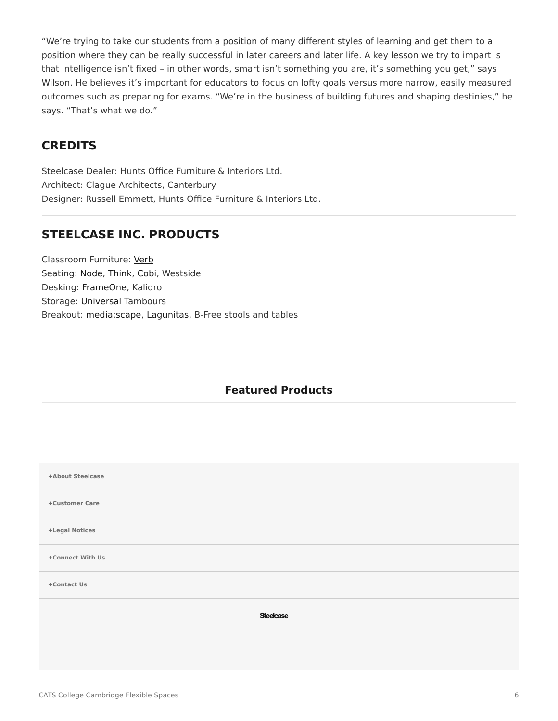"We're trying to take our students from a position of many different styles of learning and get them to a position where they can be really successful in later careers and later life. A key lesson we try to impart is that intelligence isn't fixed – in other words, smart isn't something you are, it's something you get," says Wilson. He believes it's important for educators to focus on lofty goals versus more narrow, easily measured outcomes such as preparing for exams. "We're in the business of building futures and shaping destinies," he says. "That's what we do."

### **CREDITS**

Steelcase Dealer: Hunts Office Furniture & Interiors Ltd. Architect: Clague Architects, Canterbury Designer: Russell Emmett, Hunts Office Furniture & Interiors Ltd.

## **STEELCASE INC. PRODUCTS**

Classroom Furniture: [Verb](https://www.steelcase.com/products/conference-classroom-tables/verb/) Seating: [Node,](https://www.steelcase.com/products/collaborative-chairs/node/) [Think,](https://www.steelcase.com/products/office-chairs/think/) [Cobi,](https://www.steelcase.com/products/collaborative-chairs/cobi/) Westside Desking: [FrameOne](https://www.steelcase.com/products/benching/frameone/), Kalidro Storage: [Universal](https://www.steelcase.com/products/bins-shelves/universal-storage/) Tambours Breakout: [media:scape](https://www.steelcase.com/products/collaboration/mediascape/), [Lagunitas](https://www.steelcase.com/products/lounge-chairs/lagunitas-lounge-seating/), B-Free stools and tables

#### **Featured Products**

| +About Steelcase |
|------------------|
| +Customer Care   |
| +Legal Notices   |
| +Connect With Us |
| +Contact Us      |
| <b>Steelcase</b> |
|                  |
|                  |